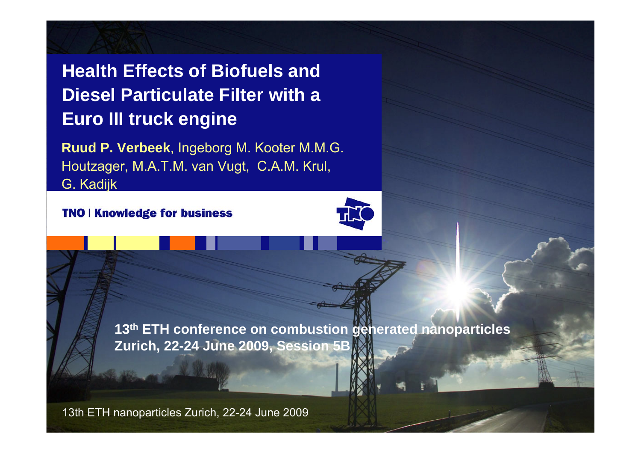## **Health Effects of Biofuels and Diesel Particulate Filter with a Euro III truck engine**

**Ruud P. Verbeek**, Ingeborg M. Kooter M.M.G. Houtzager, M.A.T.M. van Vugt, C.A.M. Krul, G. Kadijk

**TNO | Knowledge for business** 

**13th ETH conference on combustion generated nanoparticles Zurich, 22-24 June 2009, Session 5B**

13th ETH nanoparticles Zurich, 22-24 June 2009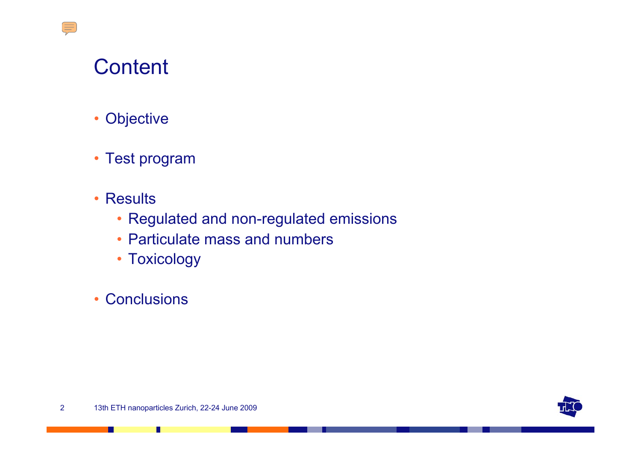$\sqrt{\frac{1}{2}}$ 

- $\bullet$ **Objective**
- Test program
- Results
	- Regulated and non-regulated emissions
	- Particulate mass and numbers
	- Toxicology
- $\bullet$ **Conclusions**



П

. .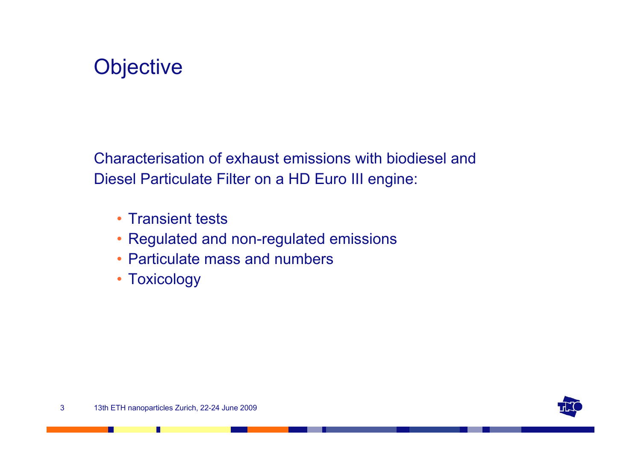

Characterisation of exhaust emissions with biodiesel and Diesel Particulate Filter on a HD Euro III engine:

- Transient tests
- Regulated and non-regulated emissions
- Particulate mass and numbers
- Toxicology



Ш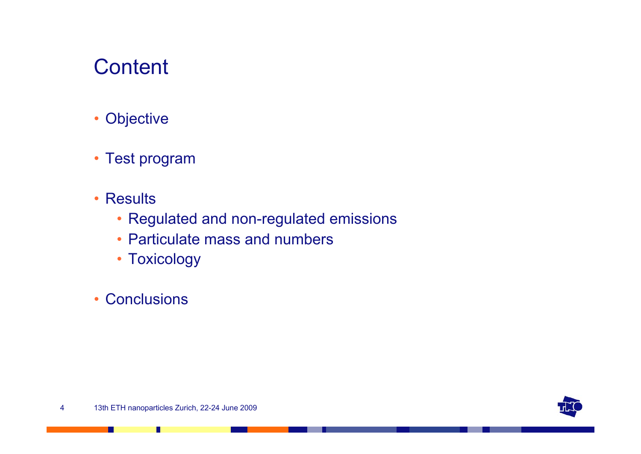- $\bullet$ **Objective**
- Test program
- Results
	- Regulated and non-regulated emissions
	- Particulate mass and numbers
	- Toxicology
- $\bullet$ **Conclusions**



П

ш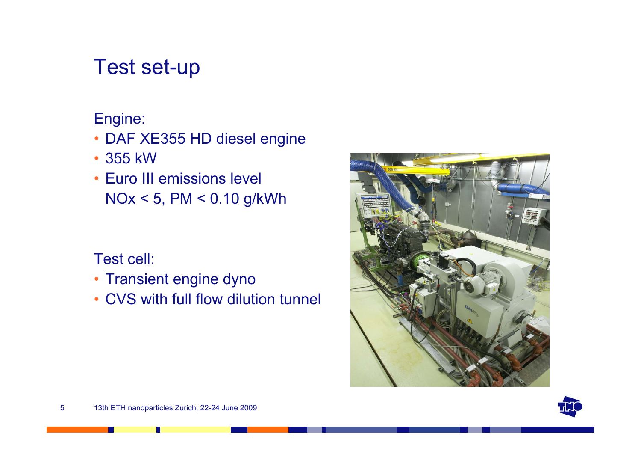## Test set-up

#### Engine:

- DAF XE355 HD diesel engine
- 355 kW
- Euro III emissions level NOx < 5, PM < 0.10 g/kWh

#### Test cell:

- Transient engine dyno
- CVS with full flow dilution tunnel



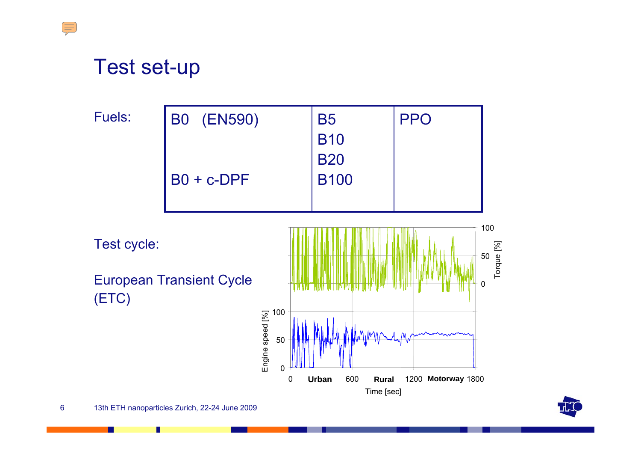## Test set-up

 $\sqrt{\frac{1}{2}}$ 

Fuels: B0 (EN590) B0 + c-DPF B5 B10 B20 B100 PPO



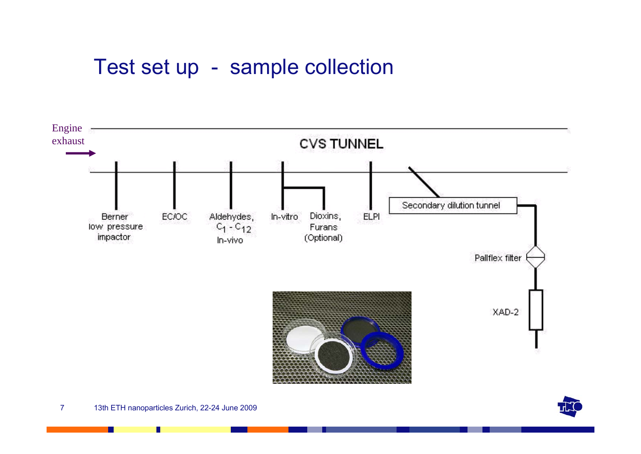## Test set up - sample collection



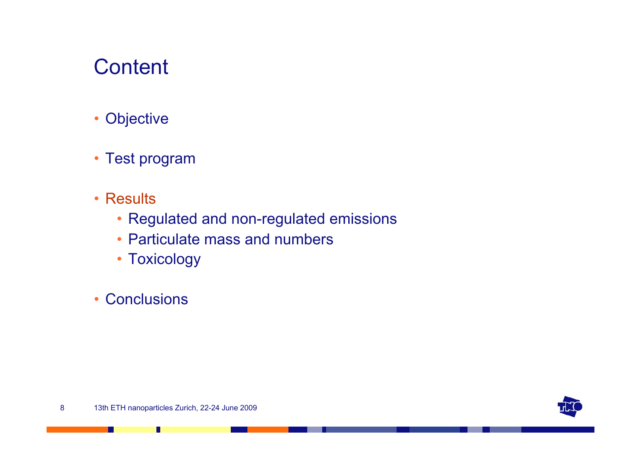- $\bullet$ **Objective**
- Test program
- Results
	- Regulated and non-regulated emissions
	- Particulate mass and numbers
	- Toxicology
- $\bullet$ **Conclusions**



П

ш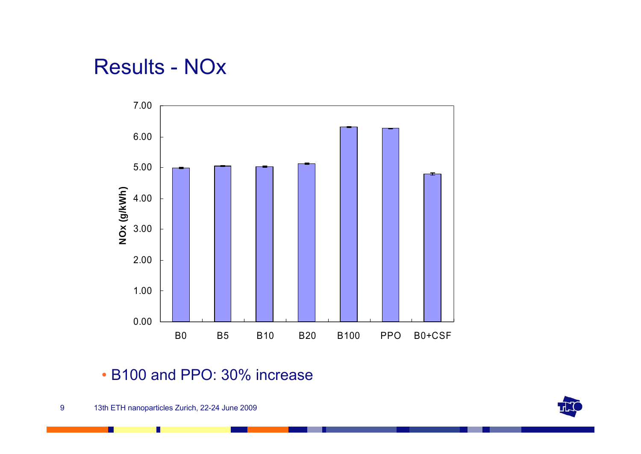## Results - NOx



#### • B100 and PPO: 30% increase

П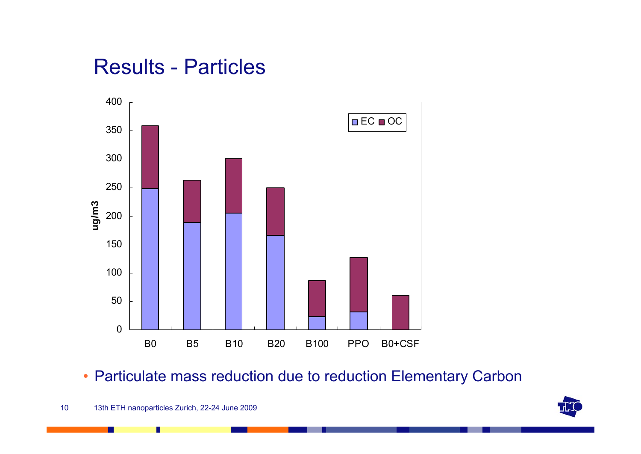## Results - Particles



• Particulate mass reduction due to reduction Elementary Carbon

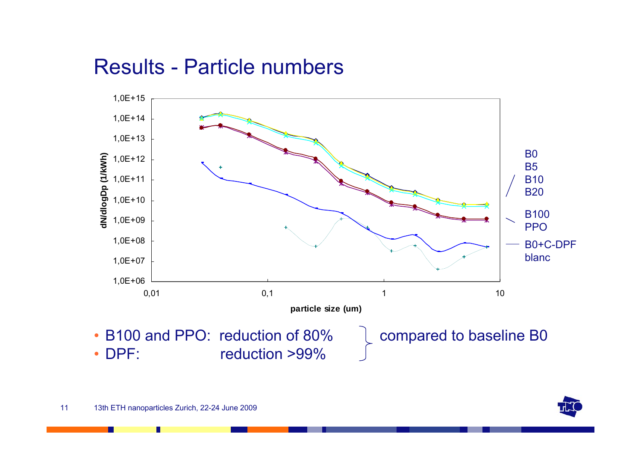## Results - Particle numbers



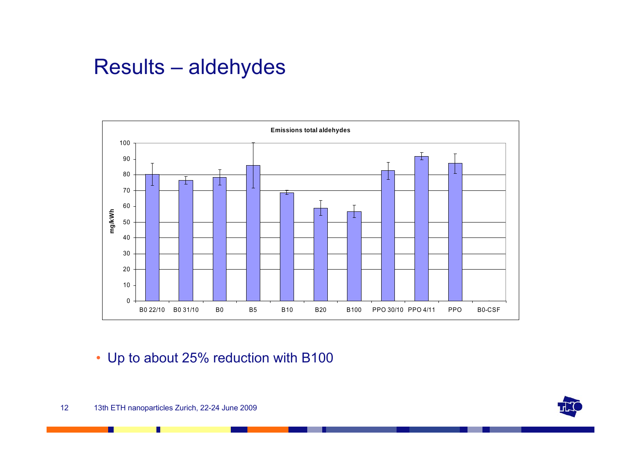## Results – aldehydes



• Up to about 25% reduction with B100



Г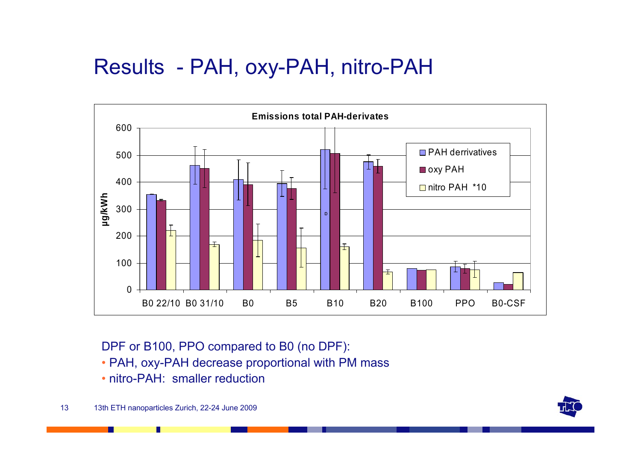## Results - PAH, oxy-PAH, nitro-PAH



DPF or B100, PPO compared to B0 (no DPF):

- PAH, oxy-PAH decrease proportional with PM mass
- nitro-PAH: smaller reduction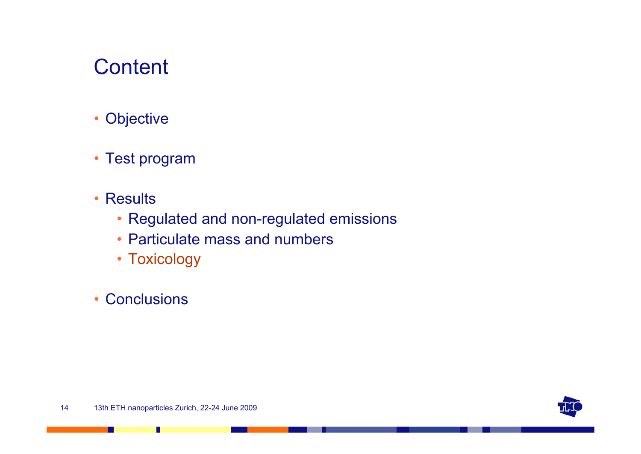- $\bullet$ **Objective**
- Test program
- Results
	- Regulated and non-regulated emissions
	- Particulate mass and numbers
	- Toxicology
- $\bullet$ **Conclusions**



П

ш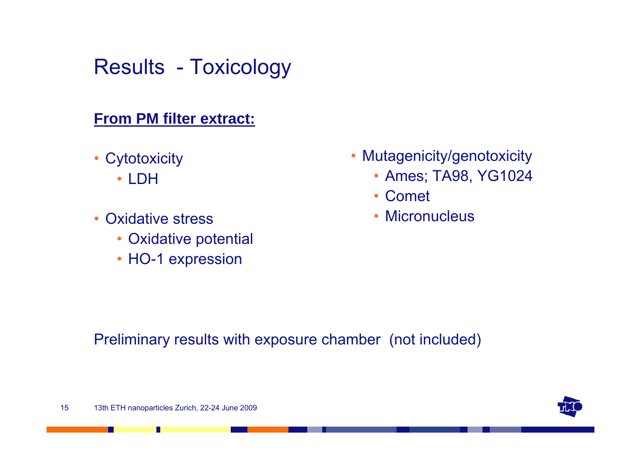## Results - Toxicology

#### **From PM filter extract:**

- Cytotoxicity
	- LDH
- • Oxidative stress
	- Oxidative potential
	- HO-1 expression
- • Mutagenicity/genotoxicity
	- Ames; TA98, YG1024
	- Comet
	- Micronucleus

Preliminary results with exposure chamber (not included)



Ш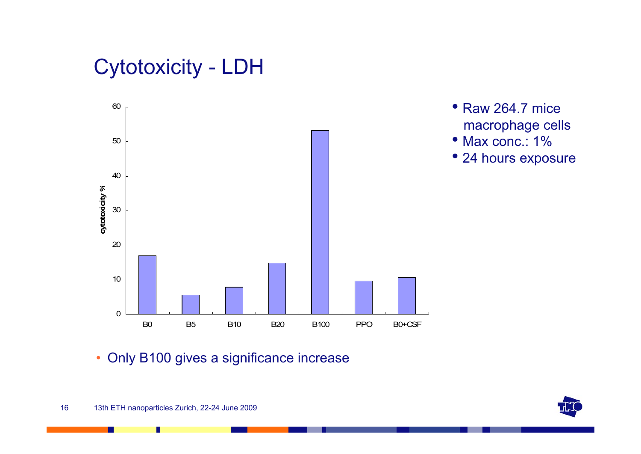## Cytotoxicity - LDH



- Raw 264.7 mice macrophage cells
- Max conc.: 1%
- 24 hours exposure

• Only B100 gives a significance increase

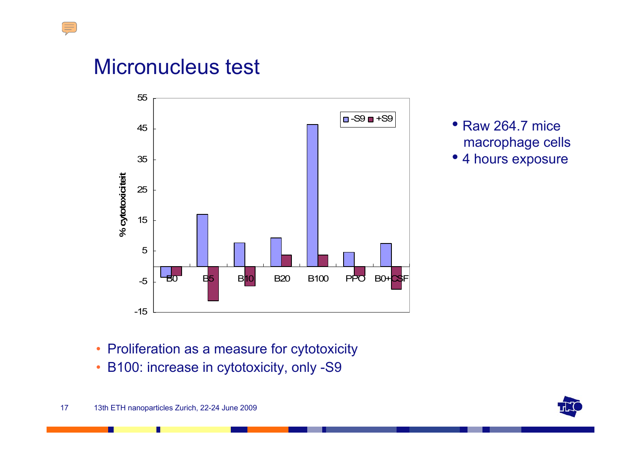## Micronucleus test

 $\frac{1}{2}$ 



- Raw 264.7 mice macrophage cells
- •4 hours exposure

- Proliferation as a measure for cytotoxicity
- B100: increase in cytotoxicity, only -S9

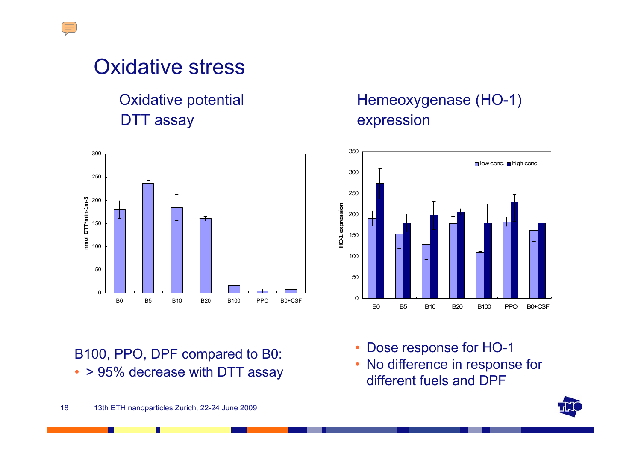## Oxidative stress

### **Oxidative potential** DTT assay expression



B100, PPO, DPF compared to B0: • > 95% decrease with DTT assay

# Hemeoxygenase (HO-1)



- •Dose response for HO-1
- • No difference in response for different fuels and DPF

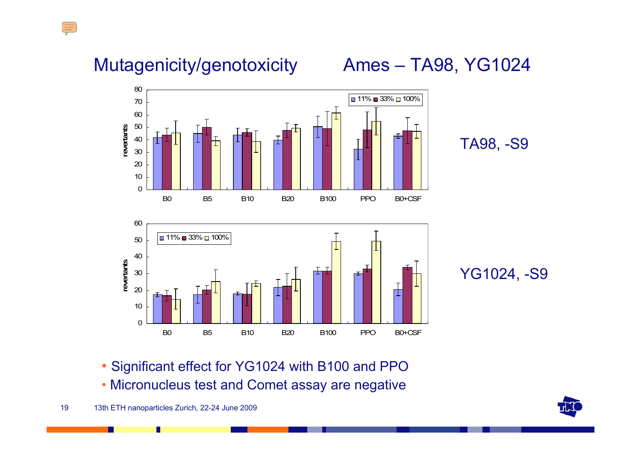## Mutagenicity/genotoxicity Ames – TA98, YG1024

 $\mathbb{H}$ 





#### TA98, -S9

YG1024, -S9

• Significant effect for YG1024 with B100 and PPO

• Micronucleus test and Comet assay are negative

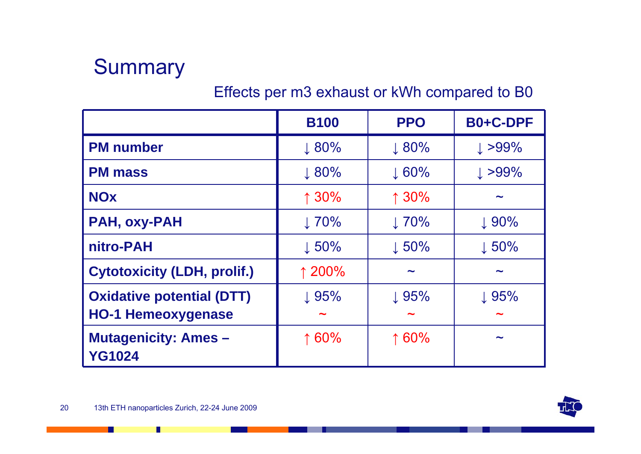

#### Effects per m3 exhaust or kWh compared to B0

|                                              | <b>B100</b>       | <b>PPO</b>        | B0+C-DPF              |
|----------------------------------------------|-------------------|-------------------|-----------------------|
| <b>PM</b> number                             | $\downarrow 80\%$ | $\downarrow 80\%$ | $\downarrow$ >99%     |
| <b>PM mass</b>                               | $\downarrow 80\%$ | $\downarrow 60\%$ | $\downarrow$ >99%     |
| <b>NOx</b>                                   | 130%              | 130%              | ∼                     |
| <b>PAH, oxy-PAH</b>                          | $\downarrow$ 70%  | $\perp 70\%$      | $\downarrow$ 90%      |
| nitro-PAH                                    | $\downarrow 50\%$ | $\downarrow 50\%$ | $\downarrow 50\%$     |
| <b>Cytotoxicity (LDH, prolif.)</b>           | ↑ 200%            | $\tilde{}$        | $\tilde{\phantom{a}}$ |
| <b>Oxidative potential (DTT)</b>             | $\downarrow$ 95%  | $\downarrow$ 95%  | $\downarrow$ 95%      |
| <b>HO-1 Hemeoxygenase</b>                    |                   |                   | ∼                     |
| <b>Mutagenicity: Ames -</b><br><b>YG1024</b> | 160%              | 160%              | ∼                     |



П

. .

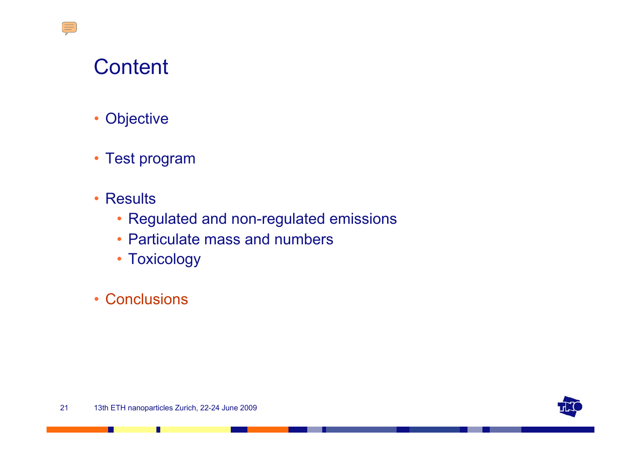$\sqrt{\frac{1}{2}}$ 

- $\bullet$ **Objective**
- Test program
- Results
	- Regulated and non-regulated emissions
	- Particulate mass and numbers
	- Toxicology
- Conclusions



П

ш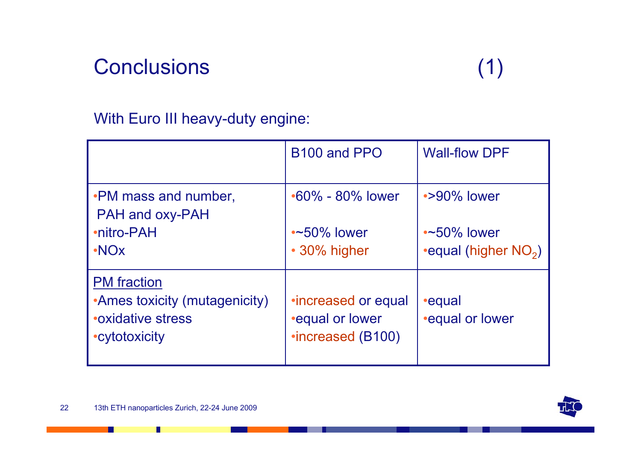## **Conclusions**

#### With Euro III heavy-duty engine:

|                                                                                                    | B <sub>100</sub> and PPO                                                 | <b>Wall-flow DPF</b>             |
|----------------------------------------------------------------------------------------------------|--------------------------------------------------------------------------|----------------------------------|
| . PM mass and number,<br>PAH and oxy-PAH                                                           | $\cdot 60\%$ - 80% lower                                                 | $\cdot$ >90% lower               |
| •nitro-PAH                                                                                         | $\sim$ 50% lower                                                         | $\sim$ 50% lower                 |
| $\cdot$ NOx                                                                                        | • 30% higher                                                             | •equal (higher NO <sub>2</sub> ) |
| <b>PM</b> fraction<br>•Ames toxicity (mutagenicity)<br><b>• oxidative stress</b><br>• cytotoxicity | <i>•increased or equal</i><br><b>equal or lower</b><br>•increased (B100) | •equal<br><b>.equal or lower</b> |



П

H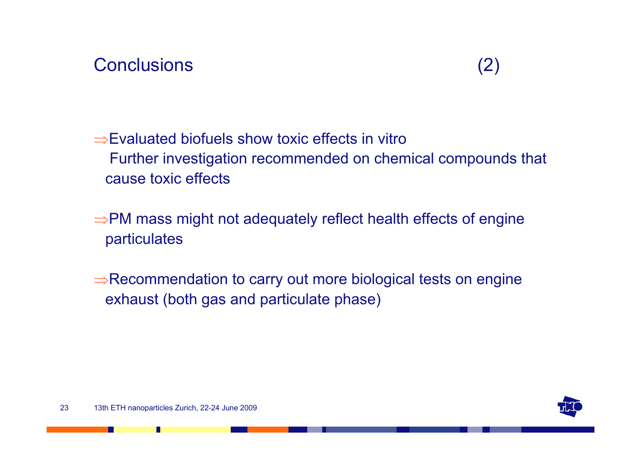#### **Conclusions**

⇒Evaluated biofuels show toxic effects in vitroFurther investigation recommended on chemical compounds that cause toxic effects

<sup>⇒</sup>PM mass might not adequately reflect health effects of engine particulates

<sup>⇒</sup>Recommendation to carry out more biological tests on engine exhaust (both gas and particulate phase)